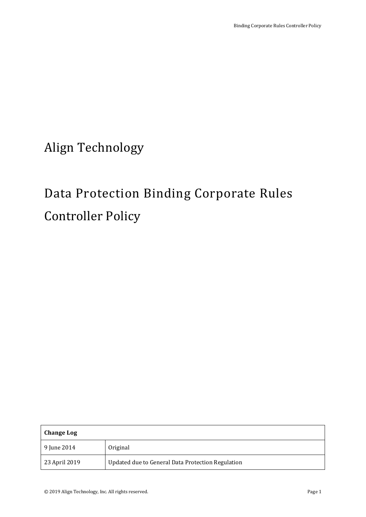Align Technology

# Data Protection Binding Corporate Rules Controller Policy

| Change Log    |                                                   |
|---------------|---------------------------------------------------|
| 9 June 2014   | Original                                          |
| 23 April 2019 | Updated due to General Data Protection Regulation |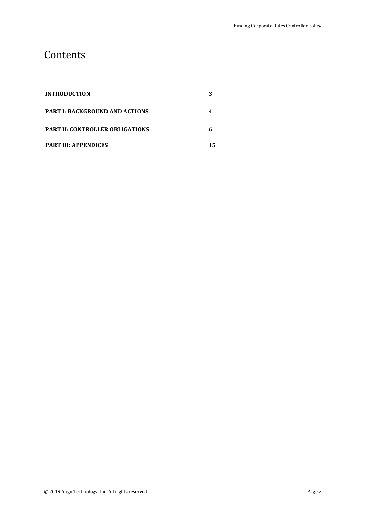## **Contents**

| <b>INTRODUCTION</b>                    |  |
|----------------------------------------|--|
| <b>PART I: BACKGROUND AND ACTIONS</b>  |  |
| <b>PART II: CONTROLLER OBLIGATIONS</b> |  |
| <b>PART III: APPENDICES</b>            |  |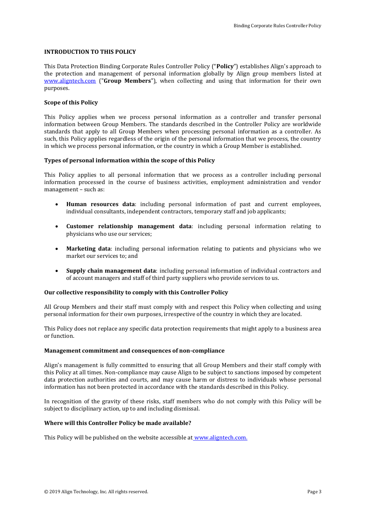### **INTRODUCTION TO THIS POLICY**

This Data Protection Binding Corporate Rules Controller Policy ("**Policy**") establishes Align's approach to the protection and management of personal information globally by Align group members listed at [www.aligntech.com](http://www.aligntech.com/) ("**Group Members**"), when collecting and using that information for their own purposes.

### **Scope of this Policy**

This Policy applies when we process personal information as a controller and transfer personal information between Group Members. The standards described in the Controller Policy are worldwide standards that apply to all Group Members when processing personal information as a controller. As such, this Policy applies regardless of the origin of the personal information that we process, the country in which we process personal information, or the country in which a Group Member is established.

### **Types of personal information within the scope of this Policy**

This Policy applies to all personal information that we process as a controller including personal information processed in the course of business activities, employment administration and vendor management – such as:

- **Human resources data**: including personal information of past and current employees, individual consultants, independent contractors, temporary staff and job applicants;
- **Customer relationship management data**: including personal information relating to physicians who use our services;
- **Marketing data**: including personal information relating to patients and physicians who we market our services to; and
- **Supply chain management data**: including personal information of individual contractors and of account managers and staff of third party suppliers who provide services to us.

#### **Our collective responsibility to comply with this Controller Policy**

All Group Members and their staff must comply with and respect this Policy when collecting and using personal information for their own purposes, irrespective of the country in which they are located.

This Policy does not replace any specific data protection requirements that might apply to a business area or function.

#### **Management commitment and consequences of non-compliance**

Align's management is fully committed to ensuring that all Group Members and their staff comply with this Policy at all times. Non-compliance may cause Align to be subject to sanctions imposed by competent data protection authorities and courts, and may cause harm or distress to individuals whose personal information has not been protected in accordance with the standards described in this Policy.

In recognition of the gravity of these risks, staff members who do not comply with this Policy will be subject to disciplinary action, up to and including dismissal.

### **Where will this Controller Policy be made available?**

This Policy will be published on the website accessible at [www.aligntech.com.](http://www.aligntech.com/)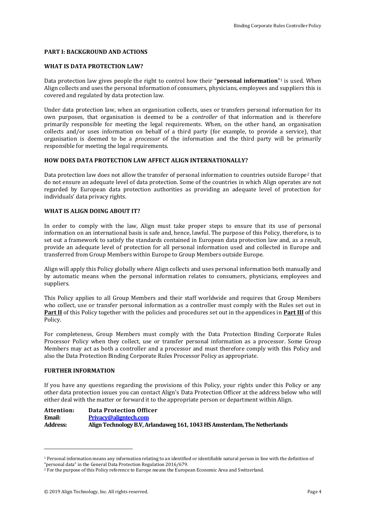### **PART I: BACKGROUND AND ACTIONS**

### **WHAT IS DATA PROTECTION LAW?**

Data protection law gives people the right to control how their "**personal information**" <sup>1</sup> is used. When Align collects and uses the personal information of consumers, physicians, employees and suppliers this is covered and regulated by data protection law.

Under data protection law, when an organisation collects, uses or transfers personal information for its own purposes, that organisation is deemed to be a *controller* of that information and is therefore primarily responsible for meeting the legal requirements. When, on the other hand, an organisation collects and/or uses information on behalf of a third party (for example, to provide a service), that organisation is deemed to be a *processor* of the information and the third party will be primarily responsible for meeting the legal requirements.

### **HOW DOES DATA PROTECTION LAW AFFECT ALIGN INTERNATIONALLY?**

Data protection law does not allow the transfer of personal information to countries outside Europe<sup>2</sup> that do not ensure an adequate level of data protection. Some of the countries in which Align operates are not regarded by European data protection authorities as providing an adequate level of protection for individuals' data privacy rights.

### **WHAT IS ALIGN DOING ABOUT IT?**

In order to comply with the law, Align must take proper steps to ensure that its use of personal information on an international basis is safe and, hence, lawful. The purpose of this Policy, therefore, is to set out a framework to satisfy the standards contained in European data protection law and, as a result, provide an adequate level of protection for all personal information used and collected in Europe and transferred from Group Members within Europe to Group Members outside Europe.

Align will apply this Policy globally where Align collects and uses personal information both manually and by automatic means when the personal information relates to consumers, physicians, employees and suppliers.

This Policy applies to all Group Members and their staff worldwide and requires that Group Members who collect, use or transfer personal information as a controller must comply with the Rules set out in **Part II** of this Policy together with the policies and procedures set out in the appendices in **Part III** of this Policy.

For completeness, Group Members must comply with the Data Protection Binding Corporate Rules Processor Policy when they collect, use or transfer personal information as a processor. Some Group Members may act as both a controller and a processor and must therefore comply with this Policy and also the Data Protection Binding Corporate Rules Processor Policy as appropriate.

#### **FURTHER INFORMATION**

-

If you have any questions regarding the provisions of this Policy, your rights under this Policy or any other data protection issues you can contact Align's Data Protection Officer at the address below who will either deal with the matter or forward it to the appropriate person or department within Align.

Attention: Data Protection Officer<br> **Fixacy@aligntech.com Email: [Privacy@aligntech.com](mailto:Privacy@aligntech.com) Address: Align Technology B.V, Arlandaweg 161, 1043 HS Amsterdam, The Netherlands**

<sup>&</sup>lt;sup>1</sup> Personal information means any information relating to an identified or identifiable natural person in line with the definition of "personal data" in the General Data Protection Regulation 2016/679.

<sup>&</sup>lt;sup>2</sup> For the purpose of this Policy reference to Europe means the European Economic Area and Switzerland.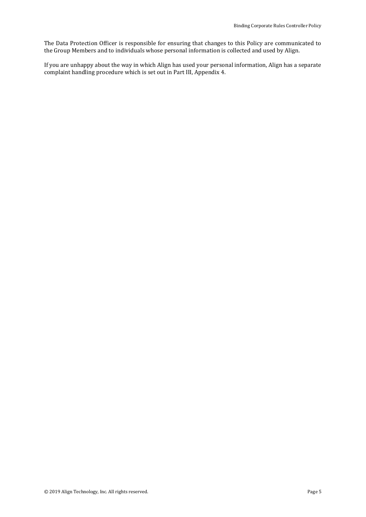The Data Protection Officer is responsible for ensuring that changes to this Policy are communicated to the Group Members and to individuals whose personal information is collected and used by Align.

If you are unhappy about the way in which Align has used your personal information, Align has a separate complaint handling procedure which is set out in Part III, Appendix 4.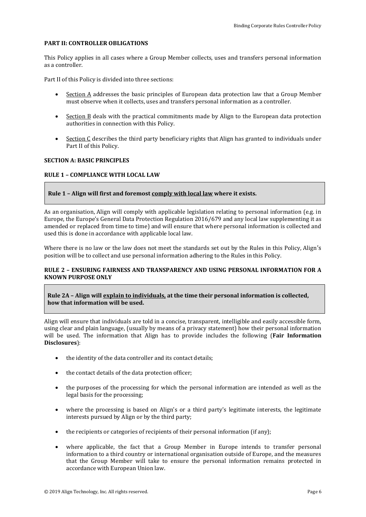### **PART II: CONTROLLER OBLIGATIONS**

This Policy applies in all cases where a Group Member collects, uses and transfers personal information as a controller.

Part II of this Policy is divided into three sections:

- Section A addresses the basic principles of European data protection law that a Group Member must observe when it collects, uses and transfers personal information as a controller.
- Section B deals with the practical commitments made by Align to the European data protection authorities in connection with this Policy.
- Section C describes the third party beneficiary rights that Align has granted to individuals under Part II of this Policy.

### **SECTION A: BASIC PRINCIPLES**

### **RULE 1 – COMPLIANCE WITH LOCAL LAW**

**Rule 1 – Align will first and foremost comply with local law where it exists.**

As an organisation, Align will comply with applicable legislation relating to personal information (e.g. in Europe, the Europe's General Data Protection Regulation 2016/679 and any local law supplementing it as amended or replaced from time to time) and will ensure that where personal information is collected and used this is done in accordance with applicable local law.

Where there is no law or the law does not meet the standards set out by the Rules in this Policy, Align's position will be to collect and use personal information adhering to the Rules in this Policy.

### **RULE 2 – ENSURING FAIRNESS AND TRANSPARENCY AND USING PERSONAL INFORMATION FOR A KNOWN PURPOSE ONLY**

**Rule 2A – Align will explain to individuals, at the time their personal information is collected, how that information will be used.**

Align will ensure that individuals are told in a concise, transparent, intelligible and easily accessible form, using clear and plain language, (usually by means of a privacy statement) how their personal information will be used. The information that Align has to provide includes the following (**Fair Information Disclosures**):

- the identity of the data controller and its contact details;
- the contact details of the data protection officer;
- the purposes of the processing for which the personal information are intended as well as the legal basis for the processing;
- where the processing is based on Align's or a third party's legitimate interests, the legitimate interests pursued by Align or by the third party;
- the recipients or categories of recipients of their personal information (if any);
- where applicable, the fact that a Group Member in Europe intends to transfer personal information to a third country or international organisation outside of Europe, and the measures that the Group Member will take to ensure the personal information remains protected in accordance with European Union law.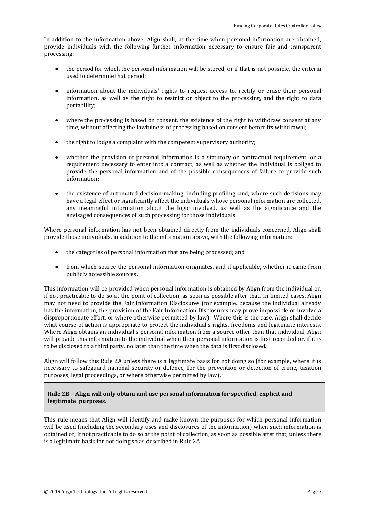In addition to the information above, Align shall, at the time when personal information are obtained, provide individuals with the following further information necessary to ensure fair and transparent processing:

- the period for which the personal information will be stored, or if that is not possible, the criteria used to determine that period;
- information about the individuals' rights to request access to, rectify or erase their personal information, as well as the right to restrict or object to the processing, and the right to data portability;
- where the processing is based on consent, the existence of the right to withdraw consent at any time, without affecting the lawfulness of processing based on consent before its withdrawal;
- the right to lodge a complaint with the competent supervisory authority;
- whether the provision of personal information is a statutory or contractual requirement, or a requirement necessary to enter into a contract, as well as whether the individual is obliged to provide the personal information and of the possible consequences of failure to provide such information;
- the existence of automated decision-making, including profiling, and, where such decisions may have a legal effect or significantly affect the individuals whose personal information are collected, any meaningful information about the logic involved, as well as the significance and the envisaged consequences of such processing for those individuals.

Where personal information has not been obtained directly from the individuals concerned, Align shall provide those individuals, in addition to the information above, with the following information:

- the categories of personal information that are being processed; and
- from which source the personal information originates, and if applicable, whether it came from publicly accessible sources.

This information will be provided when personal information is obtained by Align from the individual or, if not practicable to do so at the point of collection, as soon as possible after that. In limited cases, Align may not need to provide the Fair Information Disclosures (for example, because the individual already has the information, the provision of the Fair Information Disclosures may prove impossible or involve a disproportionate effort, or where otherwise permitted by law). Where this is the case, Align shall decide what course of action is appropriate to protect the individual's rights, freedoms and legitimate interests. Where Align obtains an individual's personal information from a source other than that individual, Align will provide this information to the individual when their personal information is first recorded or, if it is to be disclosed to a third party, no later than the time when the data is first disclosed.

Align will follow this Rule 2A unless there is a legitimate basis for not doing so (for example, where it is necessary to safeguard national security or defence, for the prevention or detection of crime, taxation purposes, legal proceedings, or where otherwise permitted by law).

### **Rule 2B – Align will only obtain and use personal information for specified, explicit and legitimate purposes.**

This rule means that Align will identify and make known the purposes for which personal information will be used (including the secondary uses and disclosures of the information) when such information is obtained or, if not practicable to do so at the point of collection, as soon as possible after that, unless there is a legitimate basis for not doing so as described in Rule 2A.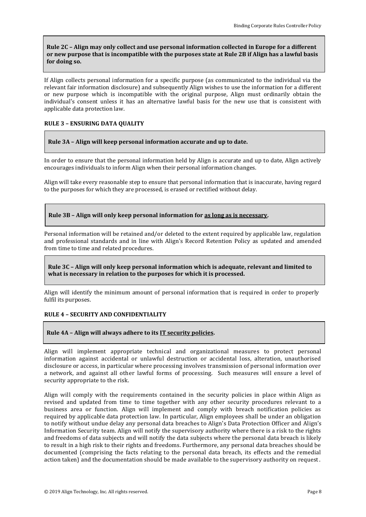### **Rule 2C – Align may only collect and use personal information collected in Europe for a different or new purpose that is incompatible with the purposes state at Rule 2B if Align has a lawful basis for doing so.**

If Align collects personal information for a specific purpose (as communicated to the individual via the relevant fair information disclosure) and subsequently Align wishes to use the information for a different or new purpose which is incompatible with the original purpose, Align must ordinarily obtain the individual's consent unless it has an alternative lawful basis for the new use that is consistent with applicable data protection law.

### **RULE 3 – ENSURING DATA QUALITY**

### **Rule 3A – Align will keep personal information accurate and up to date.**

In order to ensure that the personal information held by Align is accurate and up to date, Align actively encourages individuals to inform Align when their personal information changes.

Align will take every reasonable step to ensure that personal information that is inaccurate, having regard to the purposes for which they are processed, is erased or rectified without delay.

### **Rule 3B – Align will only keep personal information for as long as is necessary.**

Personal information will be retained and/or deleted to the extent required by applicable law, regulation and professional standards and in line with Align's Record Retention Policy as updated and amended from time to time and related procedures.

### **Rule 3C – Align will only keep personal information which is adequate, relevant and limited to what is necessary in relation to the purposes for which it is processed.**

Align will identify the minimum amount of personal information that is required in order to properly fulfil its purposes.

### **RULE 4 – SECURITY AND CONFIDENTIALITY**

### **Rule 4A – Align will always adhere to its IT security policies.**

Align will implement appropriate technical and organizational measures to protect personal information against accidental or unlawful destruction or accidental loss, alteration, unauthorised disclosure or access, in particular where processing involves transmission of personal information over a network, and against all other lawful forms of processing. Such measures will ensure a level of security appropriate to the risk.

Align will comply with the requirements contained in the security policies in place within Align as revised and updated from time to time together with any other security procedures relevant to a business area or function. Align will implement and comply with breach notification policies as required by applicable data protection law. In particular, Align employees shall be under an obligation to notify without undue delay any personal data breaches to Align's Data Protection Officer and Align's Information Security team. Align will notify the supervisory authority where there is a risk to the rights and freedoms of data subjects and will notify the data subjects where the personal data breach is likely to result in a high risk to their rights and freedoms. Furthermore, any personal data breaches should be documented (comprising the facts relating to the personal data breach, its effects and the remedial action taken) and the documentation should be made available to the supervisory authority on request.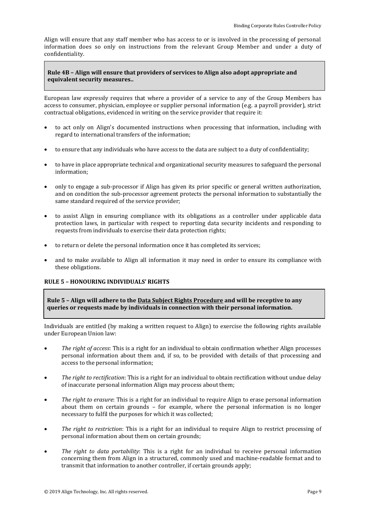Align will ensure that any staff member who has access to or is involved in the processing of personal information does so only on instructions from the relevant Group Member and under a duty of confidentiality.

### **Rule 4B – Align will ensure that providers of services to Align also adopt appropriate and equivalent security measures..**

European law expressly requires that where a provider of a service to any of the Group Members has access to consumer, physician, employee or supplier personal information (e.g. a payroll provider), strict contractual obligations, evidenced in writing on the service provider that require it:

- to act only on Align's documented instructions when processing that information, including with regard to international transfers of the information;
- to ensure that any individuals who have access to the data are subject to a duty of confidentiality;
- to have in place appropriate technical and organizational security measures to safeguard the personal information;
- only to engage a sub-processor if Align has given its prior specific or general written authorization, and on condition the sub-processor agreement protects the personal information to substantially the same standard required of the service provider;
- to assist Align in ensuring compliance with its obligations as a controller under applicable data protection laws, in particular with respect to reporting data security incidents and responding to requests from individuals to exercise their data protection rights;
- to return or delete the personal information once it has completed its services;
- and to make available to Align all information it may need in order to ensure its compliance with these obligations.

### **RULE 5 – HONOURING INDIVIDUALS' RIGHTS**

**Rule 5 – Align will adhere to the Data Subject Rights Procedure and will be receptive to any queries or requests made by individuals in connection with their personal information.**

Individuals are entitled (by making a written request to Align) to exercise the following rights available under European Union law:

- *The right of access*: This is a right for an individual to obtain confirmation whether Align processes personal information about them and, if so, to be provided with details of that processing and access to the personal information;
- *The right to rectification*: This is a right for an individual to obtain rectification without undue delay of inaccurate personal information Align may process about them;
- *The right to erasure*: This is a right for an individual to require Align to erase personal information about them on certain grounds – for example, where the personal information is no longer necessary to fulfil the purposes for which it was collected;
- *The right to restriction*: This is a right for an individual to require Align to restrict processing of personal information about them on certain grounds;
- *The right to data portability*: This is a right for an individual to receive personal information concerning them from Align in a structured, commonly used and machine-readable format and to transmit that information to another controller, if certain grounds apply;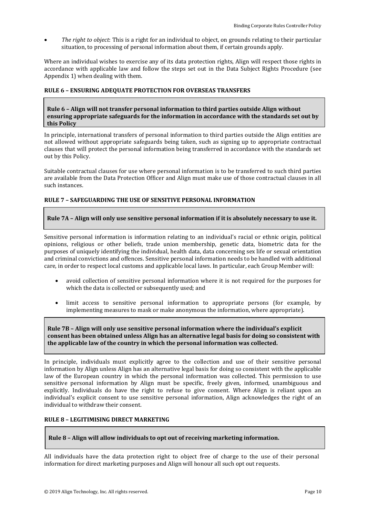*The right to object*: This is a right for an individual to object, on grounds relating to their particular situation, to processing of personal information about them, if certain grounds apply.

Where an individual wishes to exercise any of its data protection rights, Align will respect those rights in accordance with applicable law and follow the steps set out in the Data Subject Rights Procedure (see Appendix 1) when dealing with them.

### **RULE 6 – ENSURING ADEQUATE PROTECTION FOR OVERSEAS TRANSFERS**

### **Rule 6 – Align will not transfer personal information to third parties outside Align without ensuring appropriate safeguards for the information in accordance with the standards set out by this Policy**

In principle, international transfers of personal information to third parties outside the Align entities are not allowed without appropriate safeguards being taken, such as signing up to appropriate contractual clauses that will protect the personal information being transferred in accordance with the standards set out by this Policy.

Suitable contractual clauses for use where personal information is to be transferred to such third parties are available from the Data Protection Officer and Align must make use of those contractual clauses in all such instances.

### **RULE 7 – SAFEGUARDING THE USE OF SENSITIVE PERSONAL INFORMATION**

### **Rule 7A – Align will only use sensitive personal information if it is absolutely necessary to use it.**

Sensitive personal information is information relating to an individual's racial or ethnic origin, political opinions, religious or other beliefs, trade union membership, genetic data, biometric data for the purposes of uniquely identifying the individual, health data, data concerning sex life or sexual orientation and criminal convictions and offences. Sensitive personal information needs to be handled with additional care, in order to respect local customs and applicable local laws. In particular, each Group Member will:

- avoid collection of sensitive personal information where it is not required for the purposes for which the data is collected or subsequently used; and
- limit access to sensitive personal information to appropriate persons (for example, by implementing measures to mask or make anonymous the information, where appropriate).

### **Rule 7B – Align will only use sensitive personal information where the individual's explicit consent has been obtained unless Align has an alternative legal basis for doing so consistent with the applicable law of the country in which the personal information was collected.**

In principle, individuals must explicitly agree to the collection and use of their sensitive personal information by Align unless Align has an alternative legal basis for doing so consistent with the applicable law of the European country in which the personal information was collected. This permission to use sensitive personal information by Align must be specific, freely given, informed, unambiguous and explicitly. Individuals do have the right to refuse to give consent. Where Align is reliant upon an individual's explicit consent to use sensitive personal information, Align acknowledges the right of an individual to withdraw their consent.

### **RULE 8 – LEGITIMISING DIRECT MARKETING**

### **Rule 8 – Align will allow individuals to opt out of receiving marketing information.**

All individuals have the data protection right to object free of charge to the use of their personal information for direct marketing purposes and Align will honour all such opt out requests.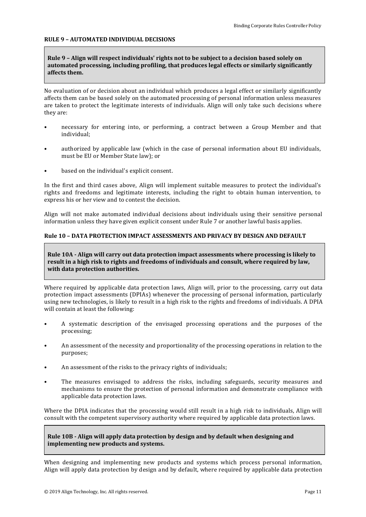### **RULE 9 – AUTOMATED INDIVIDUAL DECISIONS**

### **Rule 9 – Align will respect individuals' rights not to be subject to a decision based solely on automated processing, including profiling, that produces legal effects or similarly significantly affects them.**

No evaluation of or decision about an individual which produces a legal effect or similarly significantly affects them can be based solely on the automated processing of personal information unless measures are taken to protect the legitimate interests of individuals. Align will only take such decisions where they are:

- necessary for entering into, or performing, a contract between a Group Member and that individual;
- authorized by applicable law (which in the case of personal information about EU individuals, must be EU or Member State law); or
- based on the individual's explicit consent.

In the first and third cases above, Align will implement suitable measures to protect the individual's rights and freedoms and legitimate interests, including the right to obtain human intervention, to express his or her view and to contest the decision.

Align will not make automated individual decisions about individuals using their sensitive personal information unless they have given explicit consent under Rule 7 or another lawful basis applies.

### **Rule 10 – DATA PROTECTION IMPACT ASSESSMENTS AND PRIVACY BY DESIGN AND DEFAULT**

**Rule 10A - Align will carry out data protection impact assessments where processing is likely to result in a high risk to rights and freedoms of individuals and consult, where required by law, with data protection authorities.**

Where required by applicable data protection laws, Align will, prior to the processing, carry out data protection impact assessments (DPIAs) whenever the processing of personal information, particularly using new technologies, is likely to result in a high risk to the rights and freedoms of individuals. A DPIA will contain at least the following:

- A systematic description of the envisaged processing operations and the purposes of the processing;
- An assessment of the necessity and proportionality of the processing operations in relation to the purposes;
- An assessment of the risks to the privacy rights of individuals;
- The measures envisaged to address the risks, including safeguards, security measures and mechanisms to ensure the protection of personal information and demonstrate compliance with applicable data protection laws.

Where the DPIA indicates that the processing would still result in a high risk to individuals, Align will consult with the competent supervisory authority where required by applicable data protection laws.

**Rule 10B - Align will apply data protection by design and by default when designing and implementing new products and systems.**

When designing and implementing new products and systems which process personal information, Align will apply data protection by design and by default, where required by applicable data protection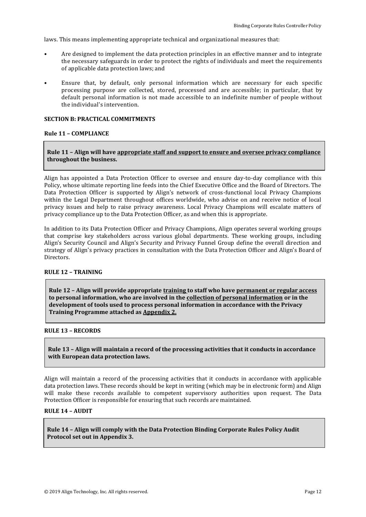laws. This means implementing appropriate technical and organizational measures that:

- Are designed to implement the data protection principles in an effective manner and to integrate the necessary safeguards in order to protect the rights of individuals and meet the requirements of applicable data protection laws; and
- Ensure that, by default, only personal information which are necessary for each specific processing purpose are collected, stored, processed and are accessible; in particular, that by default personal information is not made accessible to an indefinite number of people without the individual's intervention.

### **SECTION B: PRACTICAL COMMITMENTS**

### **Rule 11 – COMPLIANCE**

### **Rule 11 – Align will have appropriate staff and support to ensure and oversee privacy compliance throughout the business.**

Align has appointed a Data Protection Officer to oversee and ensure day-to-day compliance with this Policy, whose ultimate reporting line feeds into the Chief Executive Office and the Board of Directors. The Data Protection Officer is supported by Align's network of cross-functional local Privacy Champions within the Legal Department throughout offices worldwide, who advise on and receive notice of local privacy issues and help to raise privacy awareness. Local Privacy Champions will escalate matters of privacy compliance up to the Data Protection Officer, as and when this is appropriate.

In addition to its Data Protection Officer and Privacy Champions, Align operates several working groups that comprise key stakeholders across various global departments. These working groups, including Align's Security Council and Align's Security and Privacy Funnel Group define the overall direction and strategy of Align's privacy practices in consultation with the Data Protection Officer and Align's Board of **Directors** 

### **RULE 12 – TRAINING**

**Rule 12 – Align will provide appropriate training to staff who have permanent or regular access to personal information, who are involved in the collection of personal information or in the development of tools used to process personal information in accordance with the Privacy Training Programme attached as Appendix 2.**

### **RULE 13 – RECORDS**

**Rule 13 – Align will maintain a record of the processing activities that it conducts in accordance with European data protection laws.** 

Align will maintain a record of the processing activities that it conducts in accordance with applicable data protection laws. These records should be kept in writing (which may be in electronic form) and Align will make these records available to competent supervisory authorities upon request. The Data Protection Officer is responsible for ensuring that such records are maintained.

### **RULE 14 – AUDIT**

**Rule 14 – Align will comply with the Data Protection Binding Corporate Rules Policy Audit Protocol set out in Appendix 3.**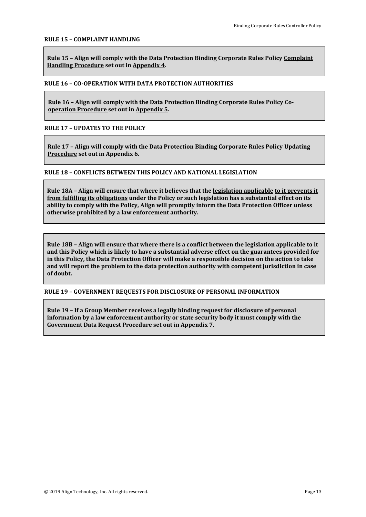### **RULE 15 – COMPLAINT HANDLING**

**Rule 15 – Align will comply with the Data Protection Binding Corporate Rules Policy Complaint Handling Procedure set out in Appendix 4.**

### **RULE 16 – CO-OPERATION WITH DATA PROTECTION AUTHORITIES**

**Rule 16 – Align will comply with the Data Protection Binding Corporate Rules Policy Cooperation Procedure set out in Appendix 5.**

**RULE 17 – UPDATES TO THE POLICY**

**Rule 17 – Align will comply with the Data Protection Binding Corporate Rules Policy Updating Procedure set out in Appendix 6.**

### **RULE 18 – CONFLICTS BETWEEN THIS POLICY AND NATIONAL LEGISLATION**

**Rule 18A – Align will ensure that where it believes that the legislation applicable to it prevents it from fulfilling its obligations under the Policy or such legislation has a substantial effect on its ability to comply with the Policy, Align will promptly inform the Data Protection Officer unless otherwise prohibited by a law enforcement authority.**

**Rule 18B – Align will ensure that where there is a conflict between the legislation applicable to it and this Policy which is likely to have a substantial adverse effect on the guarantees provided for in this Policy, the Data Protection Officer will make a responsible decision on the action to take and will report the problem to the data protection authority with competent jurisdiction in case of doubt.**

**RULE 19 – GOVERNMENT REQUESTS FOR DISCLOSURE OF PERSONAL INFORMATION**

**Rule 19 – If a Group Member receives a legally binding request for disclosure of personal information by a law enforcement authority or state security body it must comply with the Government Data Request Procedure set out in Appendix 7.**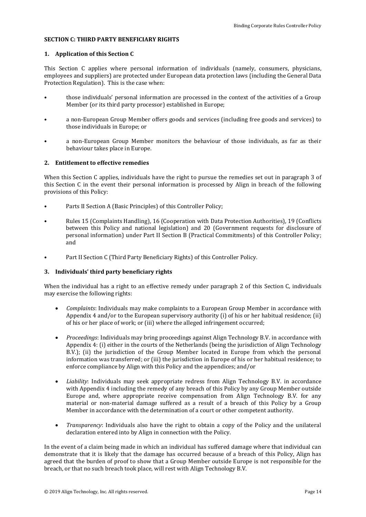### **SECTION C: THIRD PARTY BENEFICIARY RIGHTS**

### **1. Application of this Section C**

This Section C applies where personal information of individuals (namely, consumers, physicians, employees and suppliers) are protected under European data protection laws (including the General Data Protection Regulation). This is the case when:

- those individuals' personal information are processed in the context of the activities of a Group Member (or its third party processor) established in Europe;
- a non-European Group Member offers goods and services (including free goods and services) to those individuals in Europe; or
- a non-European Group Member monitors the behaviour of those individuals, as far as their behaviour takes place in Europe.

### **2. Entitlement to effective remedies**

When this Section C applies, individuals have the right to pursue the remedies set out in paragraph 3 of this Section C in the event their personal information is processed by Align in breach of the following provisions of this Policy:

- Parts II Section A (Basic Principles) of this Controller Policy;
- Rules 15 (Complaints Handling), 16 (Cooperation with Data Protection Authorities), 19 (Conflicts between this Policy and national legislation) and 20 (Government requests for disclosure of personal information) under Part II Section B (Practical Commitments) of this Controller Policy; and
- Part II Section C (Third Party Beneficiary Rights) of this Controller Policy.

### **3. Individuals' third party beneficiary rights**

When the individual has a right to an effective remedy under paragraph 2 of this Section C, individuals may exercise the following rights:

- *Complaints*: Individuals may make complaints to a European Group Member in accordance with Appendix 4 and/or to the European supervisory authority (i) of his or her habitual residence; (ii) of his or her place of work; or (iii) where the alleged infringement occurred;
- *Proceedings*: Individuals may bring proceedings against Align Technology B.V. in accordance with Appendix 4: (i) either in the courts of the Netherlands (being the jurisdiction of Align Technology B.V.); (ii) the jurisdiction of the Group Member located in Europe from which the personal information was transferred; or (iii) the jurisdiction in Europe of his or her habitual residence; to enforce compliance by Align with this Policy and the appendices; and/or
- *Liability*: Individuals may seek appropriate redress from Align Technology B.V. in accordance with Appendix 4 including the remedy of any breach of this Policy by any Group Member outside Europe and, where appropriate receive compensation from Align Technology B.V. for any material or non-material damage suffered as a result of a breach of this Policy by a Group Member in accordance with the determination of a court or other competent authority.
- *Transparency*: Individuals also have the right to obtain a copy of the Policy and the unilateral declaration entered into by Align in connection with the Policy.

In the event of a claim being made in which an individual has suffered damage where that individual can demonstrate that it is likely that the damage has occurred because of a breach of this Policy, Align has agreed that the burden of proof to show that a Group Member outside Europe is not responsible for the breach, or that no such breach took place, will rest with Align Technology B.V.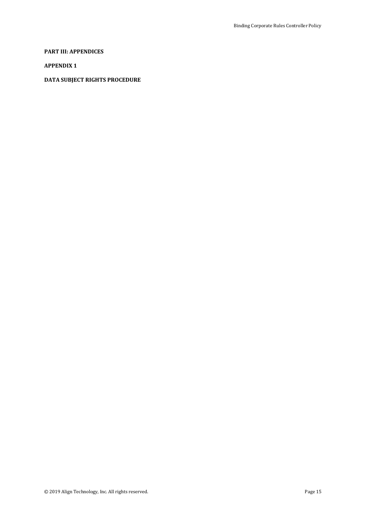### **PART III: APPENDICES**

### **APPENDIX 1**

### **DATA SUBJECT RIGHTS PROCEDURE**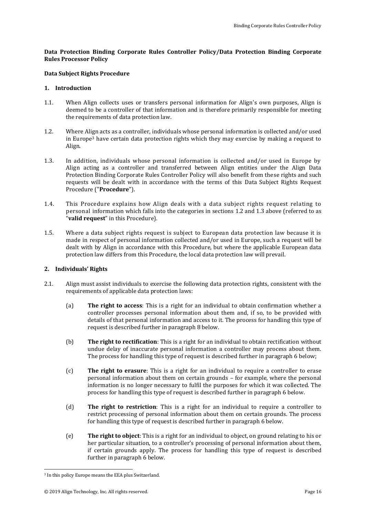### **Data Protection Binding Corporate Rules Controller Policy/Data Protection Binding Corporate Rules Processor Policy**

### **Data Subject Rights Procedure**

### **1. Introduction**

- 1.1. When Align collects uses or transfers personal information for Align's own purposes, Align is deemed to be a controller of that information and is therefore primarily responsible for meeting the requirements of data protection law.
- <span id="page-15-0"></span>1.2. Where Align acts as a controller, individuals whose personal information is collected and/or used in Europe<sup>3</sup> have certain data protection rights which they may exercise by making a request to Align.
- <span id="page-15-1"></span>1.3. In addition, individuals whose personal information is collected and/or used in Europe by Align acting as a controller and transferred between Align entities under the Align Data Protection Binding Corporate Rules Controller Policy will also benefit from these rights and such requests will be dealt with in accordance with the terms of this Data Subject Rights Request Procedure ("**Procedure**").
- 1.4. This Procedure explains how Align deals with a data subject rights request relating to personal information which falls into the categories in sections [1.2](#page-15-0) and [1.3](#page-15-1) above (referred to as "**valid request**" in this Procedure).
- 1.5. Where a data subject rights request is subject to European data protection law because it is made in respect of personal information collected and/or used in Europe, such a request will be dealt with by Align in accordance with this Procedure, but where the applicable European data protection law differs from this Procedure, the local data protection law will prevail.

### **2. Individuals' Rights**

- 2.1. Align must assist individuals to exercise the following data protection rights, consistent with the requirements of applicable data protection laws:
	- (a) **The right to access**: This is a right for an individual to obtain confirmation whether a controller processes personal information about them and, if so, to be provided with details of that personal information and access to it. The process for handling this type of request is described further in paragraph 8 below.
	- (b) **The right to rectification**: This is a right for an individual to obtain rectification without undue delay of inaccurate personal information a controller may process about them. The process for handling this type of request is described further in paragraph 6 below;
	- (c) **The right to erasure**: This is a right for an individual to require a controller to erase personal information about them on certain grounds – for example, where the personal information is no longer necessary to fulfil the purposes for which it was collected. The process for handling this type of request is described further in paragraph 6 below.
	- (d) **The right to restriction**: This is a right for an individual to require a controller to restrict processing of personal information about them on certain grounds. The process for handling this type of request is described further in paragraph 6 below.
	- (e) **The right to object**: This is a right for an individual to object, on ground relating to his or her particular situation, to a controller's processing of personal information about them, if certain grounds apply. The process for handling this type of request is described further in paragraph 6 below.

 $\overline{a}$ 

<sup>3</sup> In this policy Europe means the EEA plus Switzerland.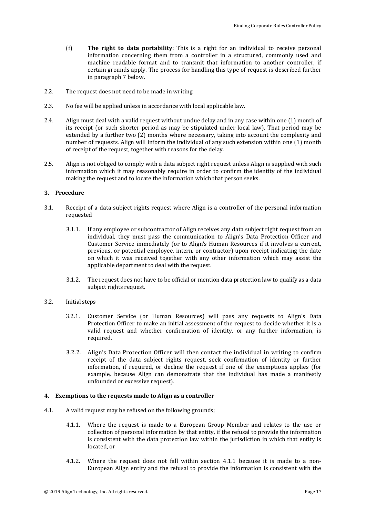- (f) **The right to data portability**: This is a right for an individual to receive personal information concerning them from a controller in a structured, commonly used and machine readable format and to transmit that information to another controller, if certain grounds apply. The process for handling this type of request is described further in paragraph 7 below.
- 2.2. The request does not need to be made in writing.
- 2.3. No fee will be applied unless in accordance with local applicable law.
- 2.4. Align must deal with a valid request without undue delay and in any case within one (1) month of its receipt (or such shorter period as may be stipulated under local law). That period may be extended by a further two (2) months where necessary, taking into account the complexity and number of requests. Align will inform the individual of any such extension within one (1) month of receipt of the request, together with reasons for the delay.
- 2.5. Align is not obliged to comply with a data subject right request unless Align is supplied with such information which it may reasonably require in order to confirm the identity of the individual making the request and to locate the information which that person seeks.

### **3. Procedure**

- 3.1. Receipt of a data subject rights request where Align is a controller of the personal information requested
	- 3.1.1. If any employee or subcontractor of Align receives any data subject right request from an individual, they must pass the communication to Align's Data Protection Officer and Customer Service immediately (or to Align's Human Resources if it involves a current, previous, or potential employee, intern, or contractor) upon receipt indicating the date on which it was received together with any other information which may assist the applicable department to deal with the request.
	- 3.1.2. The request does not have to be official or mention data protection law to qualify as a data subject rights request.
- 3.2. Initial steps
	- 3.2.1. Customer Service (or Human Resources) will pass any requests to Align's Data Protection Officer to make an initial assessment of the request to decide whether it is a valid request and whether confirmation of identity, or any further information, is required.
	- 3.2.2. Align's Data Protection Officer will then contact the individual in writing to confirm receipt of the data subject rights request, seek confirmation of identity or further information, if required, or decline the request if one of the exemptions applies (for example, because Align can demonstrate that the individual has made a manifestly unfounded or excessive request).

### **4. Exemptions to the requests made to Align as a controller**

- <span id="page-16-0"></span>4.1. A valid request may be refused on the following grounds;
	- 4.1.1. Where the request is made to a European Group Member and relates to the use or collection of personal information by that entity, if the refusal to provide the information is consistent with the data protection law within the jurisdiction in which that entity is located, or
	- 4.1.2. Where the request does not fall within section [4.1.1](#page-16-0) because it is made to a non-European Align entity and the refusal to provide the information is consistent with the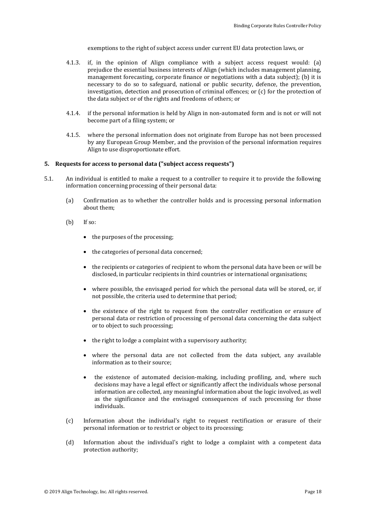exemptions to the right of subject access under current EU data protection laws, or

- 4.1.3. if, in the opinion of Align compliance with a subject access request would: (a) prejudice the essential business interests of Align (which includes management planning, management forecasting, corporate finance or negotiations with a data subject); (b) it is necessary to do so to safeguard, national or public security, defence, the prevention, investigation, detection and prosecution of criminal offences; or (c) for the protection of the data subject or of the rights and freedoms of others; or
- 4.1.4. if the personal information is held by Align in non-automated form and is not or will not become part of a filing system; or
- 4.1.5. where the personal information does not originate from Europe has not been processed by any European Group Member, and the provision of the personal information requires Align to use disproportionate effort.

### **5. Requests for access to personal data ("subject access requests")**

- 5.1. An individual is entitled to make a request to a controller to require it to provide the following information concerning processing of their personal data:
	- (a) Confirmation as to whether the controller holds and is processing personal information about them;
	- (b) If so:
		- the purposes of the processing;
		- the categories of personal data concerned;
		- the recipients or categories of recipient to whom the personal data have been or will be disclosed, in particular recipients in third countries or international organisations;
		- where possible, the envisaged period for which the personal data will be stored, or, if not possible, the criteria used to determine that period;
		- the existence of the right to request from the controller rectification or erasure of personal data or restriction of processing of personal data concerning the data subject or to object to such processing;
		- $\bullet$  the right to lodge a complaint with a supervisory authority;
		- where the personal data are not collected from the data subject, any available information as to their source;
		- the existence of automated decision-making, including profiling, and, where such decisions may have a legal effect or significantly affect the individuals whose personal information are collected, any meaningful information about the logic involved, as well as the significance and the envisaged consequences of such processing for those individuals.
	- (c) Information about the individual's right to request rectification or erasure of their personal information or to restrict or object to its processing;
	- (d) Information about the individual's right to lodge a complaint with a competent data protection authority;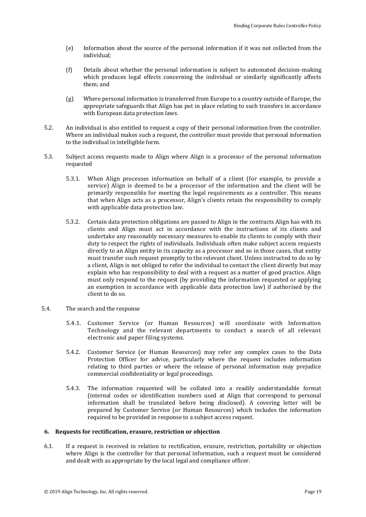- (e) Information about the source of the personal information if it was not collected from the individual;
- (f) Details about whether the personal information is subject to automated decision-making which produces legal effects concerning the individual or similarly significantly affects them; and
- (g) Where personal information is transferred from Europe to a country outside of Europe, the appropriate safeguards that Align has put in place relating to such transfers in accordance with European data protection laws.
- 5.2. An individual is also entitled to request a copy of their personal information from the controller. Where an individual makes such a request, the controller must provide that personal information to the individual in intelligible form.
- 5.3. Subject access requests made to Align where Align is a processor of the personal information requested
	- 5.3.1. When Align processes information on behalf of a client (for example, to provide a service) Align is deemed to be a processor of the information and the client will be primarily responsible for meeting the legal requirements as a controller. This means that when Align acts as a processor, Align's clients retain the responsibility to comply with applicable data protection law.
	- 5.3.2. Certain data protection obligations are passed to Align in the contracts Align has with its clients and Align must act in accordance with the instructions of its clients and undertake any reasonably necessary measures to enable its clients to comply with their duty to respect the rights of individuals. Individuals often make subject access requests directly to an Align entity in its capacity as a processor and so in those cases, that entity must transfer such request promptly to the relevant client. Unless instructed to do so by a client, Align is not obliged to refer the individual to contact the client directly but may explain who has responsibility to deal with a request as a matter of good practice. Align must only respond to the request (by providing the information requested or applying an exemption in accordance with applicable data protection law) if authorised by the client to do so.
- 5.4. The search and the response
	- 5.4.1. Customer Service (or Human Resources) will coordinate with Information Technology and the relevant departments to conduct a search of all relevant electronic and paper filing systems.
	- 5.4.2. Customer Service (or Human Resources) may refer any complex cases to the Data Protection Officer for advice, particularly where the request includes information relating to third parties or where the release of personal information may prejudice commercial confidentiality or legal proceedings.
	- 5.4.3. The information requested will be collated into a readily understandable format (internal codes or identification numbers used at Align that correspond to personal information shall be translated before being disclosed). A covering letter will be prepared by Customer Service (or Human Resources) which includes the information required to be provided in response to a subject access request.

#### **6. Requests for rectification, erasure, restriction or objection**

6.1. If a request is received in relation to rectification, erasure, restriction, portability or objection where Align is the controller for that personal information, such a request must be considered and dealt with as appropriate by the local legal and compliance officer.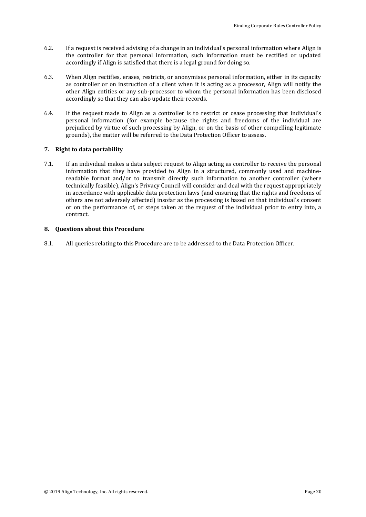- 6.2. If a request is received advising of a change in an individual's personal information where Align is the controller for that personal information, such information must be rectified or updated accordingly if Align is satisfied that there is a legal ground for doing so.
- 6.3. When Align rectifies, erases, restricts, or anonymises personal information, either in its capacity as controller or on instruction of a client when it is acting as a processor, Align will notify the other Align entities or any sub-processor to whom the personal information has been disclosed accordingly so that they can also update their records.
- 6.4. If the request made to Align as a controller is to restrict or cease processing that individual's personal information (for example because the rights and freedoms of the individual are prejudiced by virtue of such processing by Align, or on the basis of other compelling legitimate grounds), the matter will be referred to the Data Protection Officer to assess.

### **7. Right to data portability**

7.1. If an individual makes a data subject request to Align acting as controller to receive the personal information that they have provided to Align in a structured, commonly used and machinereadable format and/or to transmit directly such information to another controller (where technically feasible), Align's Privacy Council will consider and deal with the request appropriately in accordance with applicable data protection laws (and ensuring that the rights and freedoms of others are not adversely affected) insofar as the processing is based on that individual's consent or on the performance of, or steps taken at the request of the individual prior to entry into, a contract.

### **8. Questions about this Procedure**

8.1. All queries relating to this Procedure are to be addressed to the Data Protection Officer.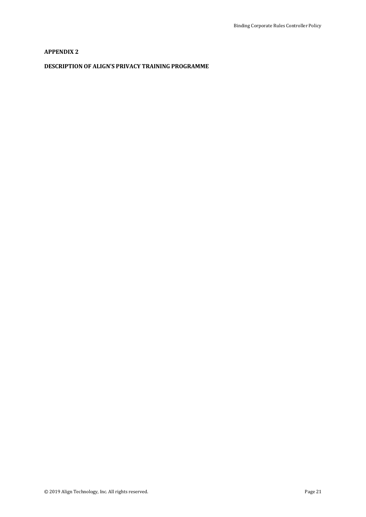### **APPENDIX 2**

### **DESCRIPTION OF ALIGN'S PRIVACY TRAINING PROGRAMME**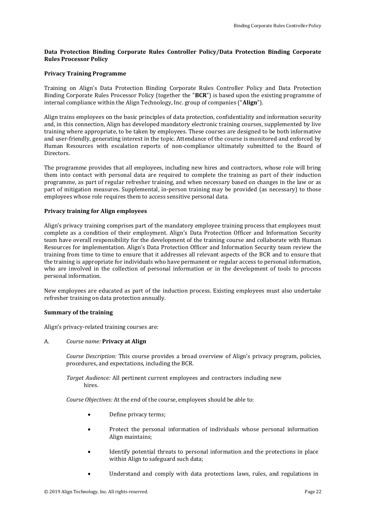### **Data Protection Binding Corporate Rules Controller Policy/Data Protection Binding Corporate Rules Processor Policy**

### **Privacy Training Programme**

Training on Align's Data Protection Binding Corporate Rules Controller Policy and Data Protection Binding Corporate Rules Processor Policy (together the "**BCR**") is based upon the existing programme of internal compliance within the Align Technology, Inc. group of companies ("**Align**").

Align trains employees on the basic principles of data protection, confidentiality and information security and, in this connection, Align has developed mandatory electronic training courses, supplemented by live training where appropriate, to be taken by employees. These courses are designed to be both informative and user-friendly, generating interest in the topic. Attendance of the course is monitored and enforced by Human Resources with escalation reports of non-compliance ultimately submitted to the Board of Directors.

The programme provides that all employees, including new hires and contractors, whose role will bring them into contact with personal data are required to complete the training as part of their induction programme, as part of regular refresher training, and when necessary based on changes in the law or as part of mitigation measures. Supplemental, in-person training may be provided (as necessary) to those employees whose role requires them to access sensitive personal data.

### **Privacy training for Align employees**

Align's privacy training comprises part of the mandatory employee training process that employees must complete as a condition of their employment. Align's Data Protection Officer and Information Security team have overall responsibility for the development of the training course and collaborate with Human Resources for implementation. Align's Data Protection Officer and Information Security team review the training from time to time to ensure that it addresses all relevant aspects of the BCR and to ensure that the training is appropriate for individuals who have permanent or regular access to personal information, who are involved in the collection of personal information or in the development of tools to process personal information.

New employees are educated as part of the induction process. Existing employees must also undertake refresher training on data protection annually.

#### **Summary of the training**

Align's privacy-related training courses are:

#### A. *Course name:* **Privacy at Align**

*Course Description:* This course provides a broad overview of Align's privacy program, policies, procedures, and expectations, including the BCR.

*Target Audience:* All pertinent current employees and contractors including new hires.

*Course Objectives:* At the end of the course, employees should be able to:

- Define privacy terms;
- Protect the personal information of individuals whose personal information Align maintains;
- Identify potential threats to personal information and the protections in place within Align to safeguard such data;
- Understand and comply with data protections laws, rules, and regulations in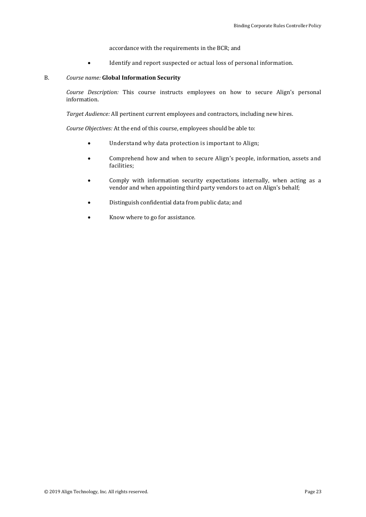accordance with the requirements in the BCR; and

Identify and report suspected or actual loss of personal information.

### B. *Course name:* **Global Information Security**

*Course Description:* This course instructs employees on how to secure Align's personal information.

*Target Audience:* All pertinent current employees and contractors, including new hires.

*Course Objectives:* At the end of this course, employees should be able to:

- Understand why data protection is important to Align;
- Comprehend how and when to secure Align's people, information, assets and facilities;
- Comply with information security expectations internally, when acting as a vendor and when appointing third party vendors to act on Align's behalf;
- Distinguish confidential data from public data; and
- Know where to go for assistance.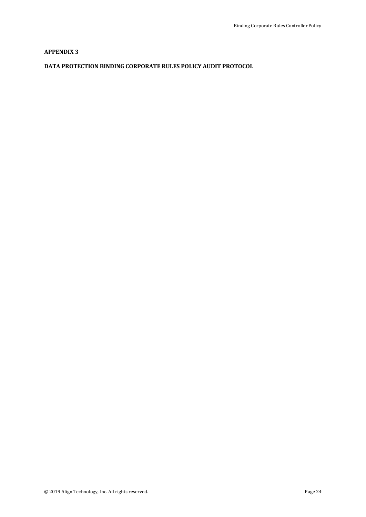### **APPENDIX 3**

### **DATA PROTECTION BINDING CORPORATE RULES POLICY AUDIT PROTOCOL**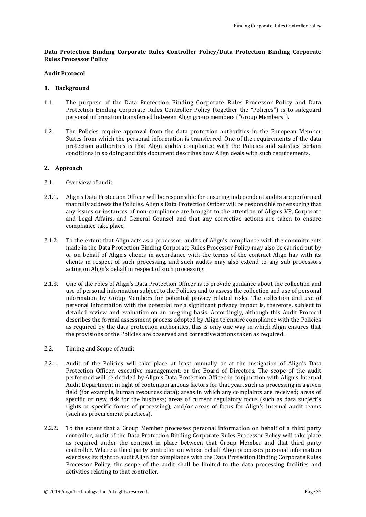### **Data Protection Binding Corporate Rules Controller Policy/Data Protection Binding Corporate Rules Processor Policy**

### **Audit Protocol**

### **1. Background**

- 1.1. The purpose of the Data Protection Binding Corporate Rules Processor Policy and Data Protection Binding Corporate Rules Controller Policy (together the "Policies") is to safeguard personal information transferred between Align group members ("Group Members").
- 1.2. The Policies require approval from the data protection authorities in the European Member States from which the personal information is transferred. One of the requirements of the data protection authorities is that Align audits compliance with the Policies and satisfies certain conditions in so doing and this document describes how Align deals with such requirements.

### **2. App**r**oach**

- 2.1. Overview of audit
- 2.1.1. Align's Data Protection Officer will be responsible for ensuring independent audits are performed that fully address the Policies. Align's Data Protection Officer will be responsible for ensuring that any issues or instances of non-compliance are brought to the attention of Align's VP, Corporate and Legal Affairs, and General Counsel and that any corrective actions are taken to ensure compliance take place.
- 2.1.2. To the extent that Align acts as a processor, audits of Align's compliance with the commitments made in the Data Protection Binding Corporate Rules Processor Policy may also be carried out by or on behalf of Align's clients in accordance with the terms of the contract Align has with its clients in respect of such processing, and such audits may also extend to any sub-processors acting on Align's behalf in respect of such processing.
- 2.1.3. One of the roles of Align's Data Protection Officer is to provide guidance about the collection and use of personal information subject to the Policies and to assess the collection and use of personal information by Group Members for potential privacy-related risks. The collection and use of personal information with the potential for a significant privacy impact is, therefore, subject to detailed review and evaluation on an on-going basis. Accordingly, although this Audit Protocol describes the formal assessment process adopted by Align to ensure compliance with the Policies as required by the data protection authorities, this is only one way in which Align ensures that the provisions of the Policies are observed and corrective actions taken as required.
- 2.2. Timing and Scope of Audit
- 2.2.1. Audit of the Policies will take place at least annually or at the instigation of Align's Data Protection Officer, executive management, or the Board of Directors. The scope of the audit performed will be decided by Align's Data Protection Officer in conjunction with Align's Internal Audit Department in light of contemporaneous factors for that year, such as processing in a given field (for example, human resources data); areas in which any complaints are received; areas of specific or new risk for the business; areas of current regulatory focus (such as data subject's rights or specific forms of processing); and/or areas of focus for Align's internal audit teams (such as procurement practices).
- 2.2.2. To the extent that a Group Member processes personal information on behalf of a third party controller, audit of the Data Protection Binding Corporate Rules Processor Policy will take place as required under the contract in place between that Group Member and that third party controller. Where a third party controller on whose behalf Align processes personal information exercises its right to audit Align for compliance with the Data Protection Binding Corporate Rules Processor Policy, the scope of the audit shall be limited to the data processing facilities and activities relating to that controller.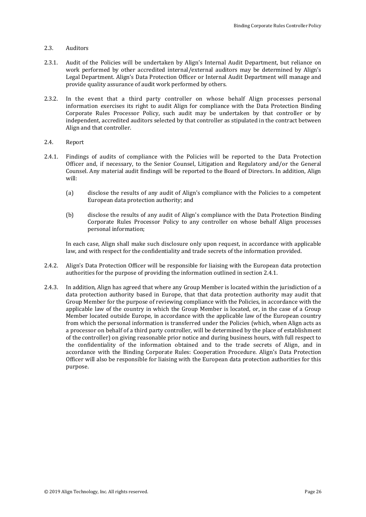### 2.3. Auditors

- 2.3.1. Audit of the Policies will be undertaken by Align's Internal Audit Department, but reliance on work performed by other accredited internal/external auditors may be determined by Align's Legal Department. Align's Data Protection Officer or Internal Audit Department will manage and provide quality assurance of audit work performed by others.
- 2.3.2. In the event that a third party controller on whose behalf Align processes personal information exercises its right to audit Align for compliance with the Data Protection Binding Corporate Rules Processor Policy, such audit may be undertaken by that controller or by independent, accredited auditors selected by that controller as stipulated in the contract between Align and that controller.
- 2.4. Report
- <span id="page-25-0"></span>2.4.1. Findings of audits of compliance with the Policies will be reported to the Data Protection Officer and, if necessary, to the Senior Counsel, Litigation and Regulatory and/or the General Counsel. Any material audit findings will be reported to the Board of Directors. In addition, Align will:
	- (a) disclose the results of any audit of Align's compliance with the Policies to a competent European data protection authority; and
	- (b) disclose the results of any audit of Align's compliance with the Data Protection Binding Corporate Rules Processor Policy to any controller on whose behalf Align processes personal information;

In each case, Align shall make such disclosure only upon request, in accordance with applicable law, and with respect for the confidentiality and trade secrets of the information provided.

- 2.4.2. Align's Data Protection Officer will be responsible for liaising with the European data protection authorities for the purpose of providing the information outlined in sectio[n 2.4.1.](#page-25-0)
- 2.4.3. In addition, Align has agreed that where any Group Member is located within the jurisdiction of a data protection authority based in Europe, that that data protection authority may audit that Group Member for the purpose of reviewing compliance with the Policies, in accordance with the applicable law of the country in which the Group Member is located, or, in the case of a Group Member located outside Europe, in accordance with the applicable law of the European country from which the personal information is transferred under the Policies (which, when Align acts as a processor on behalf of a third party controller, will be determined by the place of establishment of the controller) on giving reasonable prior notice and during business hours, with full respect to the confidentiality of the information obtained and to the trade secrets of Align, and in accordance with the Binding Corporate Rules: Cooperation Procedure. Align's Data Protection Officer will also be responsible for liaising with the European data protection authorities for this purpose.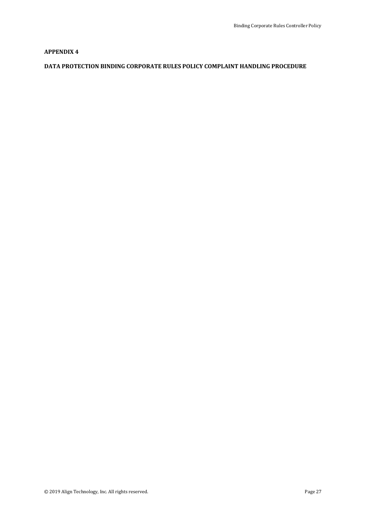### **APPENDIX 4**

### **DATA PROTECTION BINDING CORPORATE RULES POLICY COMPLAINT HANDLING PROCEDURE**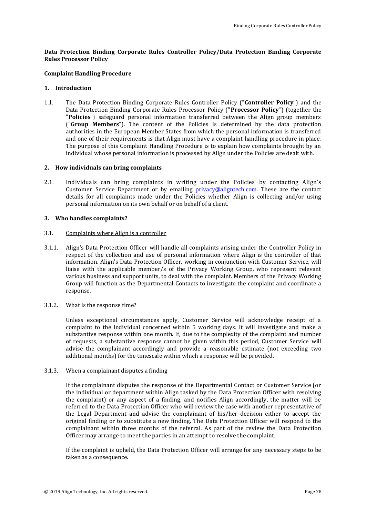### **Data Protection Binding Corporate Rules Controller Policy/Data Protection Binding Corporate Rules Processor Policy**

### **Complaint Handling Procedure**

### **1. Introduction**

1.1. The Data Protection Binding Corporate Rules Controller Policy ("**Controller Policy**") and the Data Protection Binding Corporate Rules Processor Policy ("**Processor Policy**") (together the "**Policies**") safeguard personal information transferred between the Align group members ("**Group Members**"). The content of the Policies is determined by the data protection authorities in the European Member States from which the personal information is transferred and one of their requirements is that Align must have a complaint handling procedure in place. The purpose of this Complaint Handling Procedure is to explain how complaints brought by an individual whose personal information is processed by Align under the Policies are dealt with.

### **2. How individuals can bring complaints**

2.1. Individuals can bring complaints in writing under the Policies by contacting Align's Customer Service Department or by emailing [privacy@aligntech.com.](mailto:privacy@aligntech.com) These are the contact details for all complaints made under the Policies whether Align is collecting and/or using personal information on its own behalf or on behalf of a client.

### **3. Who handles complaints?**

### 3.1. Complaints where Align is a controller

- <span id="page-27-0"></span>3.1.1. Align's Data Protection Officer will handle all complaints arising under the Controller Policy in respect of the collection and use of personal information where Align is the controller of that information. Align's Data Protection Officer, working in conjunction with Customer Service, will liaise with the applicable member/s of the Privacy Working Group, who represent relevant various business and support units, to deal with the complaint. Members of the Privacy Working Group will function as the Departmental Contacts to investigate the complaint and coordinate a response.
- 3.1.2. What is the response time?

Unless exceptional circumstances apply, Customer Service will acknowledge receipt of a complaint to the individual concerned within 5 working days. It will investigate and make a substantive response within one month. If, due to the complexity of the complaint and number of requests, a substantive response cannot be given within this period, Customer Service will advise the complainant accordingly and provide a reasonable estimate (not exceeding two additional months) for the timescale within which a response will be provided.

#### <span id="page-27-1"></span>3.1.3. When a complainant disputes a finding

If the complainant disputes the response of the Departmental Contact or Customer Service (or the individual or department within Align tasked by the Data Protection Officer with resolving the complaint) or any aspect of a finding, and notifies Align accordingly, the matter will be referred to the Data Protection Officer who will review the case with another representative of the Legal Department and advise the complainant of his/her decision either to accept the original finding or to substitute a new finding. The Data Protection Officer will respond to the complainant within three months of the referral. As part of the review the Data Protection Officer may arrange to meet the parties in an attempt to resolve the complaint.

If the complaint is upheld, the Data Protection Officer will arrange for any necessary steps to be taken as a consequence.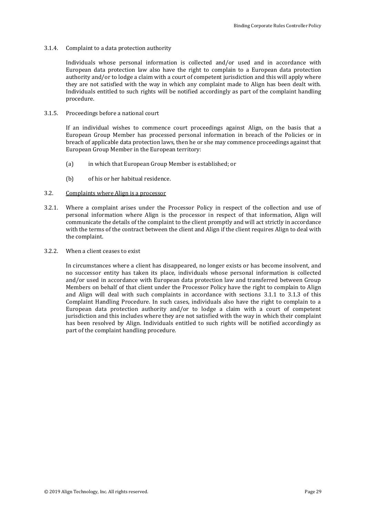#### 3.1.4. Complaint to a data protection authority

Individuals whose personal information is collected and/or used and in accordance with European data protection law also have the right to complain to a European data protection authority and/or to lodge a claim with a court of competent jurisdiction and this will apply where they are not satisfied with the way in which any complaint made to Align has been dealt with. Individuals entitled to such rights will be notified accordingly as part of the complaint handling procedure.

#### 3.1.5. Proceedings before a national court

If an individual wishes to commence court proceedings against Align, on the basis that a European Group Member has processed personal information in breach of the Policies or in breach of applicable data protection laws, then he or she may commence proceedings against that European Group Member in the European territory:

- (a) in which that European Group Member is established; or
- (b) of his or her habitual residence.
- 3.2. Complaints where Align is a processor
- 3.2.1. Where a complaint arises under the Processor Policy in respect of the collection and use of personal information where Align is the processor in respect of that information, Align will communicate the details of the complaint to the client promptly and will act strictly in accordance with the terms of the contract between the client and Align if the client requires Align to deal with the complaint.
- 3.2.2. When a client ceases to exist

In circumstances where a client has disappeared, no longer exists or has become insolvent, and no successor entity has taken its place, individuals whose personal information is collected and/or used in accordance with European data protection law and transferred between Group Members on behalf of that client under the Processor Policy have the right to complain to Align and Align will deal with such complaints in accordance with sections [3.1.1](#page-27-0) to [3.1.3](#page-27-1) of this Complaint Handling Procedure. In such cases, individuals also have the right to complain to a European data protection authority and/or to lodge a claim with a court of competent jurisdiction and this includes where they are not satisfied with the way in which their complaint has been resolved by Align. Individuals entitled to such rights will be notified accordingly as part of the complaint handling procedure.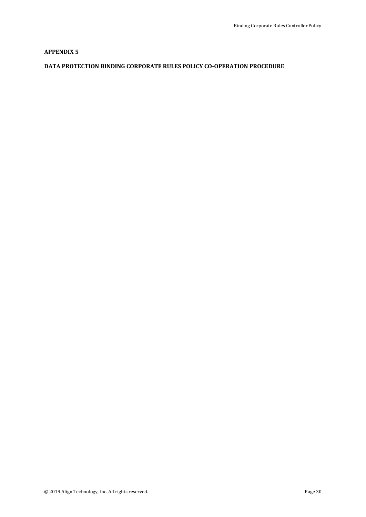### **APPENDIX 5**

### **DATA PROTECTION BINDING CORPORATE RULES POLICY CO-OPERATION PROCEDURE**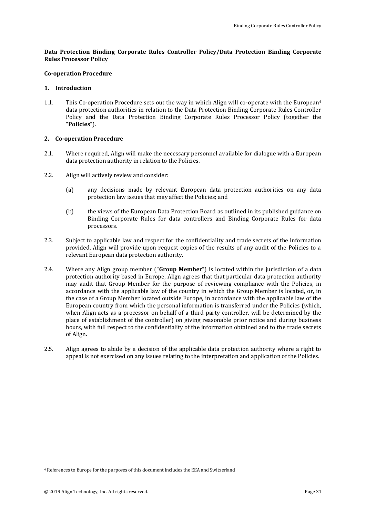### **Data Protection Binding Corporate Rules Controller Policy/Data Protection Binding Corporate Rules Processor Policy**

### **Co-operation Procedure**

### **1. Introduction**

1.1. This Co-operation Procedure sets out the way in which Align will co-operate with the European<sup>4</sup> data protection authorities in relation to the Data Protection Binding Corporate Rules Controller Policy and the Data Protection Binding Corporate Rules Processor Policy (together the "**Policies**").

### **2. Co-operation Procedure**

- 2.1. Where required, Align will make the necessary personnel available for dialogue with a European data protection authority in relation to the Policies.
- 2.2. Align will actively review and consider:
	- (a) any decisions made by relevant European data protection authorities on any data protection law issues that may affect the Policies; and
	- (b) the views of the European Data Protection Board as outlined in its published guidance on Binding Corporate Rules for data controllers and Binding Corporate Rules for data processors.
- 2.3. Subject to applicable law and respect for the confidentiality and trade secrets of the information provided, Align will provide upon request copies of the results of any audit of the Policies to a relevant European data protection authority.
- 2.4. Where any Align group member ("**Group Member**") is located within the jurisdiction of a data protection authority based in Europe, Align agrees that that particular data protection authority may audit that Group Member for the purpose of reviewing compliance with the Policies, in accordance with the applicable law of the country in which the Group Member is located, or, in the case of a Group Member located outside Europe, in accordance with the applicable law of the European country from which the personal information is transferred under the Policies (which, when Align acts as a processor on behalf of a third party controller, will be determined by the place of establishment of the controller) on giving reasonable prior notice and during business hours, with full respect to the confidentiality of the information obtained and to the trade secrets of Align.
- 2.5. Align agrees to abide by a decision of the applicable data protection authority where a right to appeal is not exercised on any issues relating to the interpretation and application of the Policies.

-

<sup>4</sup> References to Europe for the purposes of this document includes the EEA and Switzerland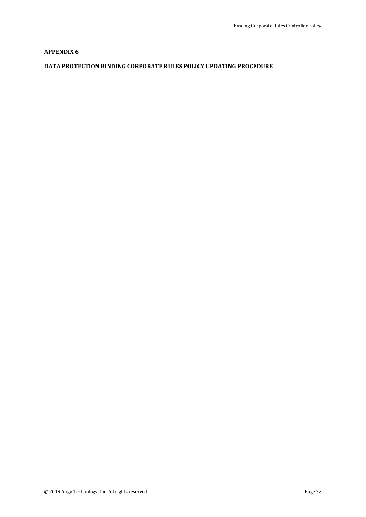### **APPENDIX 6**

### **DATA PROTECTION BINDING CORPORATE RULES POLICY UPDATING PROCEDURE**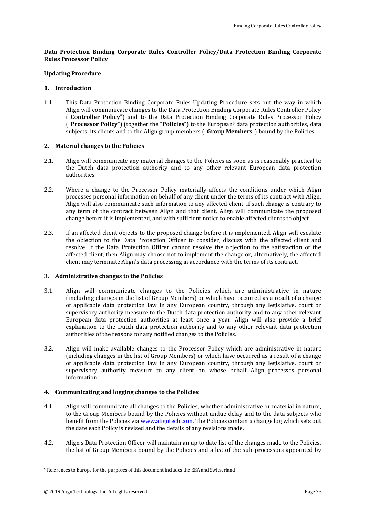### **Data Protection Binding Corporate Rules Controller Policy/Data Protection Binding Corporate Rules Processor Policy**

### **Updating Procedure**

### **1. Introduction**

1.1. This Data Protection Binding Corporate Rules Updating Procedure sets out the way in which Align will communicate changes to the Data Protection Binding Corporate Rules Controller Policy ("**Controller Policy**") and to the Data Protection Binding Corporate Rules Processor Policy ("**Processor Policy**") (together the "**Policies**") to the European<sup>5</sup> data protection authorities, data subjects, its clients and to the Align group members ("**Group Members**") bound by the Policies.

### **2. Material changes to the Policies**

- 2.1. Align will communicate any material changes to the Policies as soon as is reasonably practical to the Dutch data protection authority and to any other relevant European data protection authorities.
- 2.2. Where a change to the Processor Policy materially affects the conditions under which Align processes personal information on behalf of any client under the terms of its contract with Align, Align will also communicate such information to any affected client. If such change is contrary to any term of the contract between Align and that client, Align will communicate the proposed change before it is implemented, and with sufficient notice to enable affected clients to object.
- 2.3. If an affected client objects to the proposed change before it is implemented, Align will escalate the objection to the Data Protection Officer to consider, discuss with the affected client and resolve. If the Data Protection Officer cannot resolve the objection to the satisfaction of the affected client, then Align may choose not to implement the change or, alternatively, the affected client may terminate Align's data processing in accordance with the terms of its contract.

### **3. Administrative changes to the Policies**

- 3.1. Align will communicate changes to the Policies which are administrative in nature (including changes in the list of Group Members) or which have occurred as a result of a change of applicable data protection law in any European country, through any legislative, court or supervisory authority measure to the Dutch data protection authority and to any other relevant European data protection authorities at least once a year. Align will also provide a brief explanation to the Dutch data protection authority and to any other relevant data protection authorities of the reasons for any notified changes to the Policies.
- 3.2. Align will make available changes to the Processor Policy which are administrative in nature (including changes in the list of Group Members) or which have occurred as a result of a change of applicable data protection law in any European country, through any legislative, court or supervisory authority measure to any client on whose behalf Align processes personal information.

### **4. Communicating and logging changes to the Policies**

- 4.1. Align will communicate all changes to the Policies, whether administrative or material in nature, to the Group Members bound by the Policies without undue delay and to the data subjects who benefit from the Policies via [www.aligntech.com.](http://www.aligntech.com/) The Policies contain a change log which sets out the date each Policy is revised and the details of any revisions made.
- 4.2. Align's Data Protection Officer will maintain an up to date list of the changes made to the Policies, the list of Group Members bound by the Policies and a list of the sub-processors appointed by

-

<sup>5</sup> References to Europe for the purposes of this document includes the EEA and Switzerland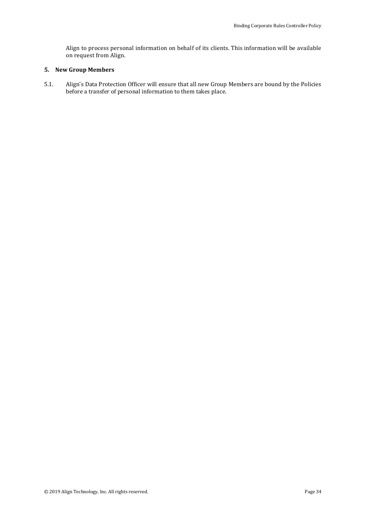Align to process personal information on behalf of its clients. This information will be available on request from Align.

### **5. New Group Members**

5.1. Align's Data Protection Officer will ensure that all new Group Members are bound by the Policies before a transfer of personal information to them takes place.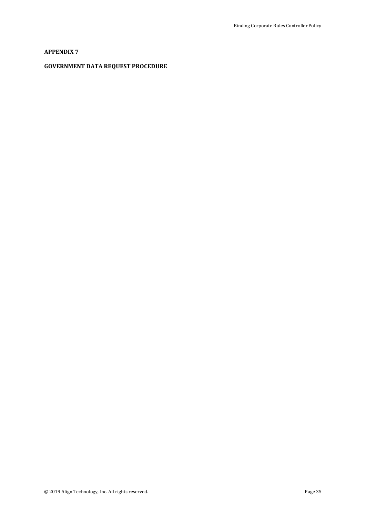### **APPENDIX 7**

### **GOVERNMENT DATA REQUEST PROCEDURE**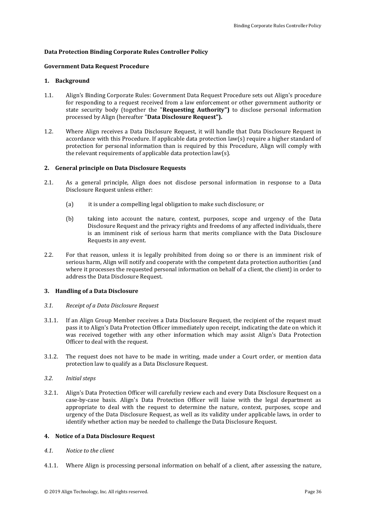### **Data Protection Binding Corporate Rules Controller Policy**

### **Government Data Request Procedure**

### **1. Background**

- 1.1. Align's Binding Corporate Rules: Government Data Request Procedure sets out Align's procedure for responding to a request received from a law enforcement or other government authority or state security body (together the "**Requesting Authority")** to disclose personal information processed by Align (hereafter "**Data Disclosure Request").**
- 1.2. Where Align receives a Data Disclosure Request, it will handle that Data Disclosure Request in accordance with this Procedure. If applicable data protection law(s) require a higher standard of protection for personal information than is required by this Procedure, Align will comply with the relevant requirements of applicable data protection law(s).

### **2. General principle on Data Disclosure Requests**

- 2.1. As a general principle, Align does not disclose personal information in response to a Data Disclosure Request unless either:
	- (a) it is under a compelling legal obligation to make such disclosure; or
	- (b) taking into account the nature, context, purposes, scope and urgency of the Data Disclosure Request and the privacy rights and freedoms of any affected individuals, there is an imminent risk of serious harm that merits compliance with the Data Disclosure Requests in any event.
- 2.2. For that reason, unless it is legally prohibited from doing so or there is an imminent risk of serious harm, Align will notify and cooperate with the competent data protection authorities (and where it processes the requested personal information on behalf of a client, the client) in order to address the Data Disclosure Request.

### **3. Handling of a Data Disclosure**

### *3.1. Receipt of a Data Disclosure Request*

- 3.1.1. If an Align Group Member receives a Data Disclosure Request, the recipient of the request must pass it to Align's Data Protection Officer immediately upon receipt, indicating the date on which it was received together with any other information which may assist Align's Data Protection Officer to deal with the request.
- 3.1.2. The request does not have to be made in writing, made under a Court order, or mention data protection law to qualify as a Data Disclosure Request.

### *3.2. Initial steps*

3.2.1. Align's Data Protection Officer will carefully review each and every Data Disclosure Request on a case-by-case basis. Align's Data Protection Officer will liaise with the legal department as appropriate to deal with the request to determine the nature, context, purposes, scope and urgency of the Data Disclosure Request, as well as its validity under applicable laws, in order to identify whether action may be needed to challenge the Data Disclosure Request.

### **4. Notice of a Data Disclosure Request**

### *4.1. Notice to the client*

4.1.1. Where Align is processing personal information on behalf of a client, after assessing the nature,